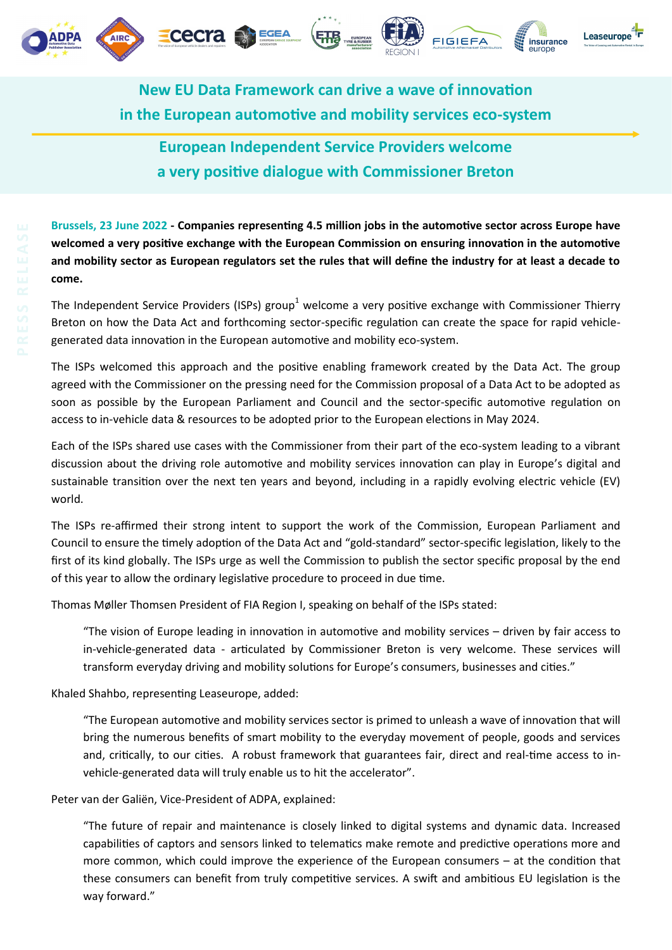







**New EU Data Framework can drive a wave of innovation in the European automotive and mobility services eco-system**

**ETB** 

## **European Independent Service Providers welcome a very positive dialogue with Commissioner Breton**

**Brussels, 23 June 2022 - Companies representing 4.5 million jobs in the automotive sector across Europe have welcomed a very positive exchange with the European Commission on ensuring innovation in the automotive and mobility sector as European regulators set the rules that will define the industry for at least a decade to come.**

The Independent Service Providers (ISPs) group<sup>1</sup> welcome a very positive exchange with Commissioner Thierry Breton on how the Data Act and forthcoming sector-specific regulation can create the space for rapid vehiclegenerated data innovation in the European automotive and mobility eco-system.

The ISPs welcomed this approach and the positive enabling framework created by the Data Act. The group agreed with the Commissioner on the pressing need for the Commission proposal of a Data Act to be adopted as soon as possible by the European Parliament and Council and the sector-specific automotive regulation on access to in-vehicle data & resources to be adopted prior to the European elections in May 2024.

Each of the ISPs shared use cases with the Commissioner from their part of the eco-system leading to a vibrant discussion about the driving role automotive and mobility services innovation can play in Europe's digital and sustainable transition over the next ten years and beyond, including in a rapidly evolving electric vehicle (EV) world.

The ISPs re-affirmed their strong intent to support the work of the Commission, European Parliament and Council to ensure the timely adoption of the Data Act and "gold-standard" sector-specific legislation, likely to the first of its kind globally. The ISPs urge as well the Commission to publish the sector specific proposal by the end of this year to allow the ordinary legislative procedure to proceed in due time.

Thomas Møller Thomsen President of FIA Region I, speaking on behalf of the ISPs stated:

"The vision of Europe leading in innovation in automotive and mobility services – driven by fair access to in-vehicle-generated data - articulated by Commissioner Breton is very welcome. These services will transform everyday driving and mobility solutions for Europe's consumers, businesses and cities."

Khaled Shahbo, representing Leaseurope, added:

"The European automotive and mobility services sector is primed to unleash a wave of innovation that will bring the numerous benefits of smart mobility to the everyday movement of people, goods and services and, critically, to our cities. A robust framework that guarantees fair, direct and real-time access to invehicle-generated data will truly enable us to hit the accelerator".

Peter van der Galiën, Vice-President of ADPA, explained:

"The future of repair and maintenance is closely linked to digital systems and dynamic data. Increased capabilities of captors and sensors linked to telematics make remote and predictive operations more and more common, which could improve the experience of the European consumers – at the condition that these consumers can benefit from truly competitive services. A swift and ambitious EU legislation is the way forward."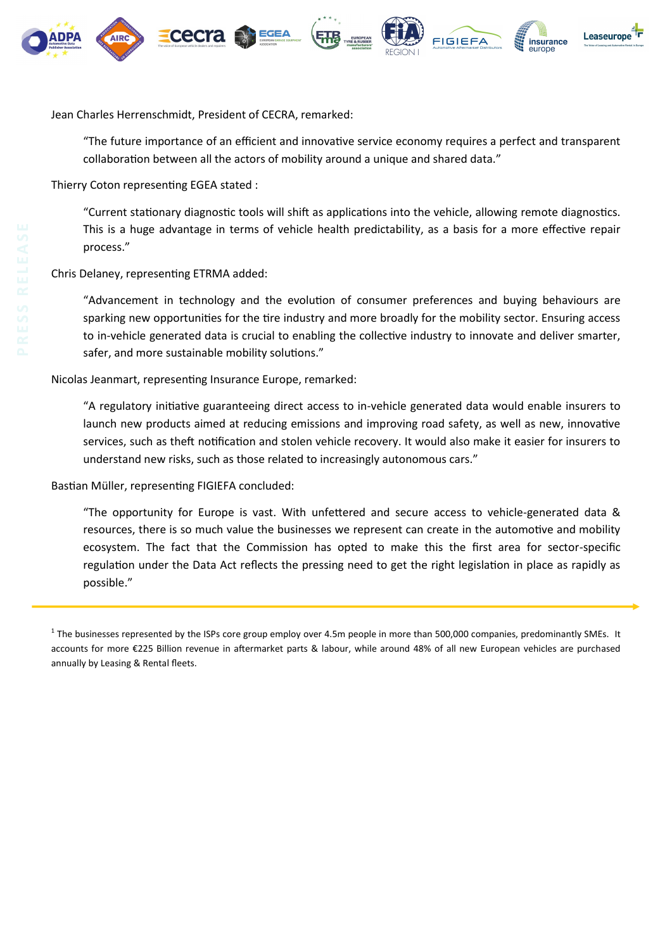

Jean Charles Herrenschmidt, President of CECRA, remarked:

"The future importance of an efficient and innovative service economy requires a perfect and transparent collaboration between all the actors of mobility around a unique and shared data."

Thierry Coton representing EGEA stated :

"Current stationary diagnostic tools will shift as applications into the vehicle, allowing remote diagnostics. This is a huge advantage in terms of vehicle health predictability, as a basis for a more effective repair process."

Chris Delaney, representing ETRMA added:

"Advancement in technology and the evolution of consumer preferences and buying behaviours are sparking new opportunities for the tire industry and more broadly for the mobility sector. Ensuring access to in-vehicle generated data is crucial to enabling the collective industry to innovate and deliver smarter, safer, and more sustainable mobility solutions."

Nicolas Jeanmart, representing Insurance Europe, remarked:

"A regulatory initiative guaranteeing direct access to in-vehicle generated data would enable insurers to launch new products aimed at reducing emissions and improving road safety, as well as new, innovative services, such as theft notification and stolen vehicle recovery. It would also make it easier for insurers to understand new risks, such as those related to increasingly autonomous cars."

Bastian Müller, representing FIGIEFA concluded:

"The opportunity for Europe is vast. With unfettered and secure access to vehicle-generated data & resources, there is so much value the businesses we represent can create in the automotive and mobility ecosystem. The fact that the Commission has opted to make this the first area for sector-specific regulation under the Data Act reflects the pressing need to get the right legislation in place as rapidly as possible."

 $^1$  The businesses represented by the ISPs core group employ over 4.5m people in more than 500,000 companies, predominantly SMEs. It accounts for more €225 Billion revenue in aftermarket parts & labour, while around 48% of all new European vehicles are purchased annually by Leasing & Rental fleets.